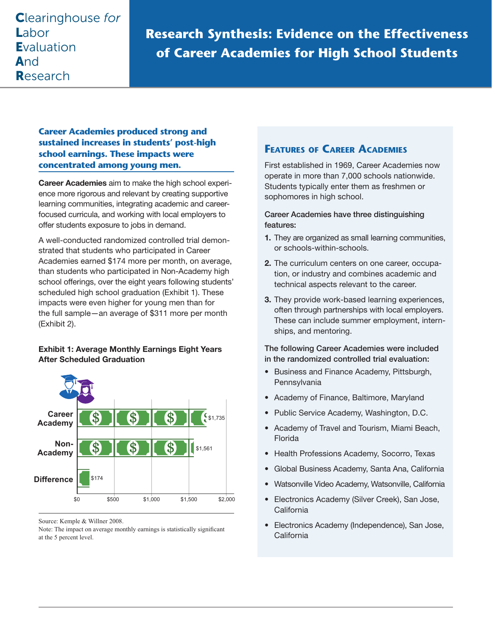# Clearinghouse *for* Labor **Evaluation** And Research

**Research Synthesis: Evidence on the Effectiveness of Career Academies for High School Students**

# **Career Academies produced strong and sustained increases in students' post-high school earnings. These impacts were concentrated among young men.**

Career Academies aim to make the high school experience more rigorous and relevant by creating supportive learning communities, integrating academic and careerfocused curricula, and working with local employers to offer students exposure to jobs in demand.

A well-conducted randomized controlled trial demonstrated that students who participated in Career Academies earned \$174 more per month, on average, than students who participated in Non-Academy high school offerings, over the eight years following students' scheduled high school graduation (Exhibit 1). These impacts were even higher for young men than for the full sample—an average of \$311 more per month (Exhibit 2).

### Exhibit 1: Average Monthly Earnings Eight Years After Scheduled Graduation



Source: Kemple & Willner 2008.

Note: The impact on average monthly earnings is statistically significant at the 5 percent level.

# **Features of Career Academies**

First established in 1969, Career Academies now operate in more than 7,000 schools nationwide. Students typically enter them as freshmen or sophomores in high school.

#### Career Academies have three distinguishing features:

- 1. They are organized as small learning communities, or schools-within-schools.
- 2. The curriculum centers on one career, occupation, or industry and combines academic and technical aspects relevant to the career.
- 3. They provide work-based learning experiences, often through partnerships with local employers. These can include summer employment, internships, and mentoring.

#### The following Career Academies were included in the randomized controlled trial evaluation:

- Business and Finance Academy, Pittsburgh, **Pennsylvania**
- Academy of Finance, Baltimore, Maryland
- Public Service Academy, Washington, D.C.
- Academy of Travel and Tourism, Miami Beach, Florida
- Health Professions Academy, Socorro, Texas
- Global Business Academy, Santa Ana, California
- Watsonville Video Academy, Watsonville, California
- Electronics Academy (Silver Creek), San Jose, California
- Electronics Academy (Independence), San Jose, **California**